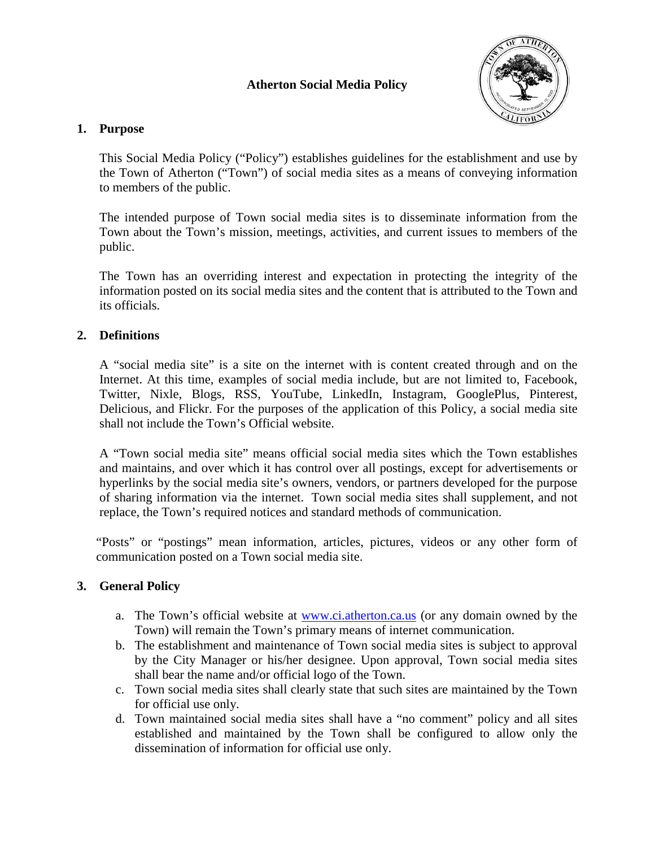## **Atherton Social Media Policy**



#### **1. Purpose**

This Social Media Policy ("Policy") establishes guidelines for the establishment and use by the Town of Atherton ("Town") of social media sites as a means of conveying information to members of the public.

The intended purpose of Town social media sites is to disseminate information from the Town about the Town's mission, meetings, activities, and current issues to members of the public.

The Town has an overriding interest and expectation in protecting the integrity of the information posted on its social media sites and the content that is attributed to the Town and its officials.

# **2. Definitions**

A "social media site" is a site on the internet with is content created through and on the Internet. At this time, examples of social media include, but are not limited to, Facebook, Twitter, Nixle, Blogs, RSS, YouTube, LinkedIn, Instagram, GooglePlus, Pinterest, Delicious, and Flickr. For the purposes of the application of this Policy, a social media site shall not include the Town's Official website.

A "Town social media site" means official social media sites which the Town establishes and maintains, and over which it has control over all postings, except for advertisements or hyperlinks by the social media site's owners, vendors, or partners developed for the purpose of sharing information via the internet. Town social media sites shall supplement, and not replace, the Town's required notices and standard methods of communication.

"Posts" or "postings" mean information, articles, pictures, videos or any other form of communication posted on a Town social media site.

# **3. General Policy**

- a. The Town's official website at [www.ci.atherton.ca.us](http://www.ci.atherton.ca.us/) (or any domain owned by the Town) will remain the Town's primary means of internet communication.
- b. The establishment and maintenance of Town social media sites is subject to approval by the City Manager or his/her designee. Upon approval, Town social media sites shall bear the name and/or official logo of the Town.
- c. Town social media sites shall clearly state that such sites are maintained by the Town for official use only.
- d. Town maintained social media sites shall have a "no comment" policy and all sites established and maintained by the Town shall be configured to allow only the dissemination of information for official use only.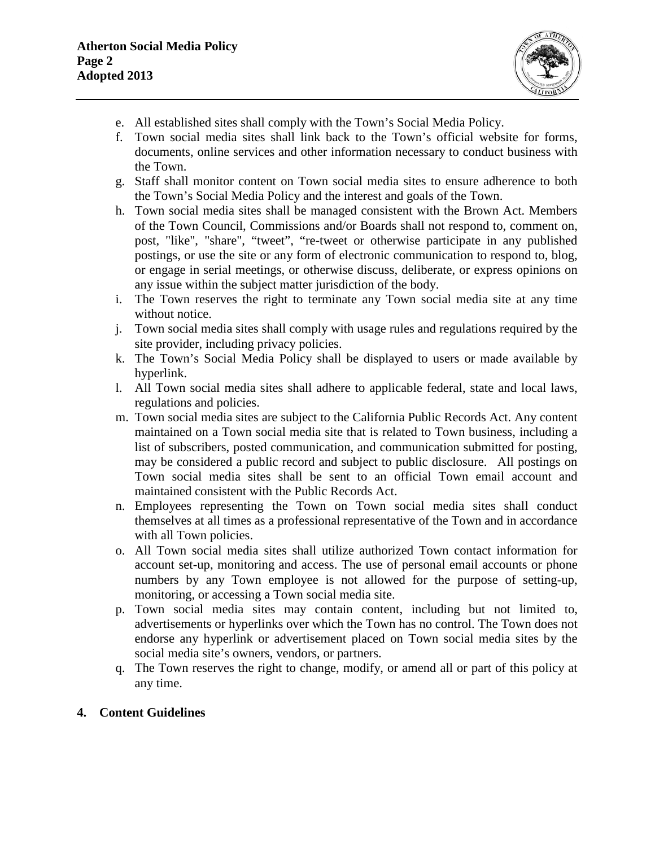

- e. All established sites shall comply with the Town's Social Media Policy.
- f. Town social media sites shall link back to the Town's official website for forms, documents, online services and other information necessary to conduct business with the Town.
- g. Staff shall monitor content on Town social media sites to ensure adherence to both the Town's Social Media Policy and the interest and goals of the Town.
- h. Town social media sites shall be managed consistent with the Brown Act. Members of the Town Council, Commissions and/or Boards shall not respond to, comment on, post, "like", "share", "tweet", "re-tweet or otherwise participate in any published postings, or use the site or any form of electronic communication to respond to, blog, or engage in serial meetings, or otherwise discuss, deliberate, or express opinions on any issue within the subject matter jurisdiction of the body.
- i. The Town reserves the right to terminate any Town social media site at any time without notice.
- j. Town social media sites shall comply with usage rules and regulations required by the site provider, including privacy policies.
- k. The Town's Social Media Policy shall be displayed to users or made available by hyperlink.
- l. All Town social media sites shall adhere to applicable federal, state and local laws, regulations and policies.
- m. Town social media sites are subject to the California Public Records Act. Any content maintained on a Town social media site that is related to Town business, including a list of subscribers, posted communication, and communication submitted for posting, may be considered a public record and subject to public disclosure. All postings on Town social media sites shall be sent to an official Town email account and maintained consistent with the Public Records Act.
- n. Employees representing the Town on Town social media sites shall conduct themselves at all times as a professional representative of the Town and in accordance with all Town policies.
- o. All Town social media sites shall utilize authorized Town contact information for account set-up, monitoring and access. The use of personal email accounts or phone numbers by any Town employee is not allowed for the purpose of setting-up, monitoring, or accessing a Town social media site.
- p. Town social media sites may contain content, including but not limited to, advertisements or hyperlinks over which the Town has no control. The Town does not endorse any hyperlink or advertisement placed on Town social media sites by the social media site's owners, vendors, or partners.
- q. The Town reserves the right to change, modify, or amend all or part of this policy at any time.

#### **4. Content Guidelines**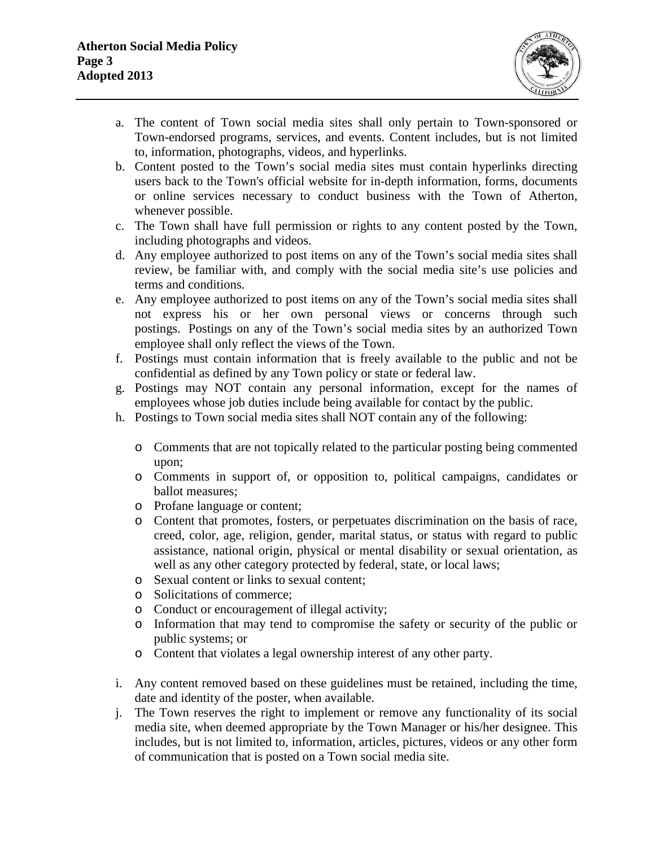

- a. The content of Town social media sites shall only pertain to Town-sponsored or Town-endorsed programs, services, and events. Content includes, but is not limited to, information, photographs, videos, and hyperlinks.
- b. Content posted to the Town's social media sites must contain hyperlinks directing users back to the Town's official website for in-depth information, forms, documents or online services necessary to conduct business with the Town of Atherton, whenever possible.
- c. The Town shall have full permission or rights to any content posted by the Town, including photographs and videos.
- d. Any employee authorized to post items on any of the Town's social media sites shall review, be familiar with, and comply with the social media site's use policies and terms and conditions.
- e. Any employee authorized to post items on any of the Town's social media sites shall not express his or her own personal views or concerns through such postings. Postings on any of the Town's social media sites by an authorized Town employee shall only reflect the views of the Town.
- f. Postings must contain information that is freely available to the public and not be confidential as defined by any Town policy or state or federal law.
- g. Postings may NOT contain any personal information, except for the names of employees whose job duties include being available for contact by the public.
- h. Postings to Town social media sites shall NOT contain any of the following:
	- o Comments that are not topically related to the particular posting being commented upon;
	- o Comments in support of, or opposition to, political campaigns, candidates or ballot measures;
	- o Profane language or content;
	- o Content that promotes, fosters, or perpetuates discrimination on the basis of race, creed, color, age, religion, gender, marital status, or status with regard to public assistance, national origin, physical or mental disability or sexual orientation, as well as any other category protected by federal, state, or local laws;
	- o Sexual content or links to sexual content;
	- o Solicitations of commerce;
	- o Conduct or encouragement of illegal activity;
	- o Information that may tend to compromise the safety or security of the public or public systems; or
	- o Content that violates a legal ownership interest of any other party.
- i. Any content removed based on these guidelines must be retained, including the time, date and identity of the poster, when available.
- j. The Town reserves the right to implement or remove any functionality of its social media site, when deemed appropriate by the Town Manager or his/her designee. This includes, but is not limited to, information, articles, pictures, videos or any other form of communication that is posted on a Town social media site.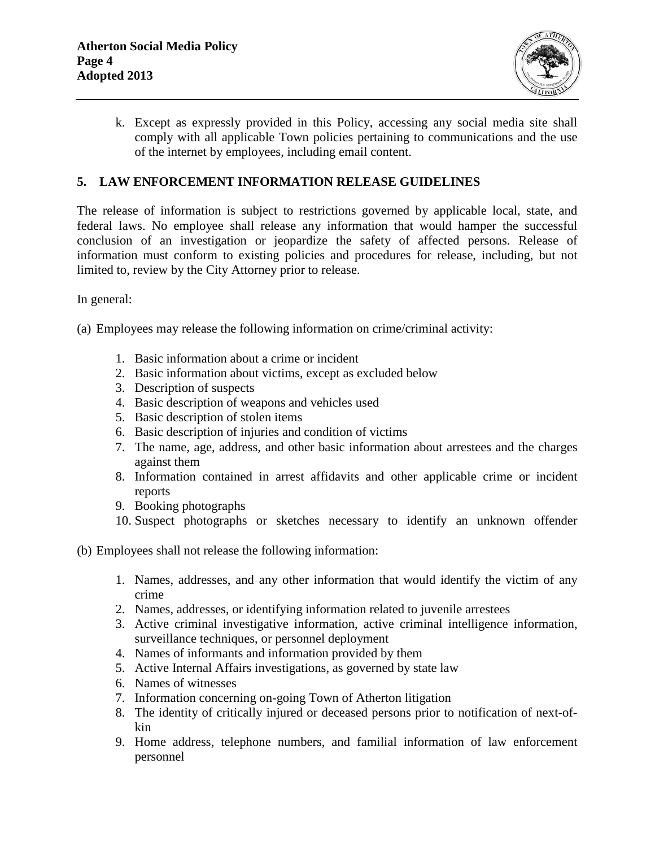

k. Except as expressly provided in this Policy, accessing any social media site shall comply with all applicable Town policies pertaining to communications and the use of the internet by employees, including email content.

### **5. LAW ENFORCEMENT INFORMATION RELEASE GUIDELINES**

The release of information is subject to restrictions governed by applicable local, state, and federal laws. No employee shall release any information that would hamper the successful conclusion of an investigation or jeopardize the safety of affected persons. Release of information must conform to existing policies and procedures for release, including, but not limited to, review by the City Attorney prior to release.

In general:

(a) Employees may release the following information on crime/criminal activity:

- 1. Basic information about a crime or incident
- 2. Basic information about victims, except as excluded below
- 3. Description of suspects
- 4. Basic description of weapons and vehicles used
- 5. Basic description of stolen items
- 6. Basic description of injuries and condition of victims
- 7. The name, age, address, and other basic information about arrestees and the charges against them
- 8. Information contained in arrest affidavits and other applicable crime or incident reports
- 9. Booking photographs
- 10. Suspect photographs or sketches necessary to identify an unknown offender
- (b) Employees shall not release the following information:
	- 1. Names, addresses, and any other information that would identify the victim of any crime
	- 2. Names, addresses, or identifying information related to juvenile arrestees
	- 3. Active criminal investigative information, active criminal intelligence information, surveillance techniques, or personnel deployment
	- 4. Names of informants and information provided by them
	- 5. Active Internal Affairs investigations, as governed by state law
	- 6. Names of witnesses
	- 7. Information concerning on-going Town of Atherton litigation
	- 8. The identity of critically injured or deceased persons prior to notification of next-ofkin
	- 9. Home address, telephone numbers, and familial information of law enforcement personnel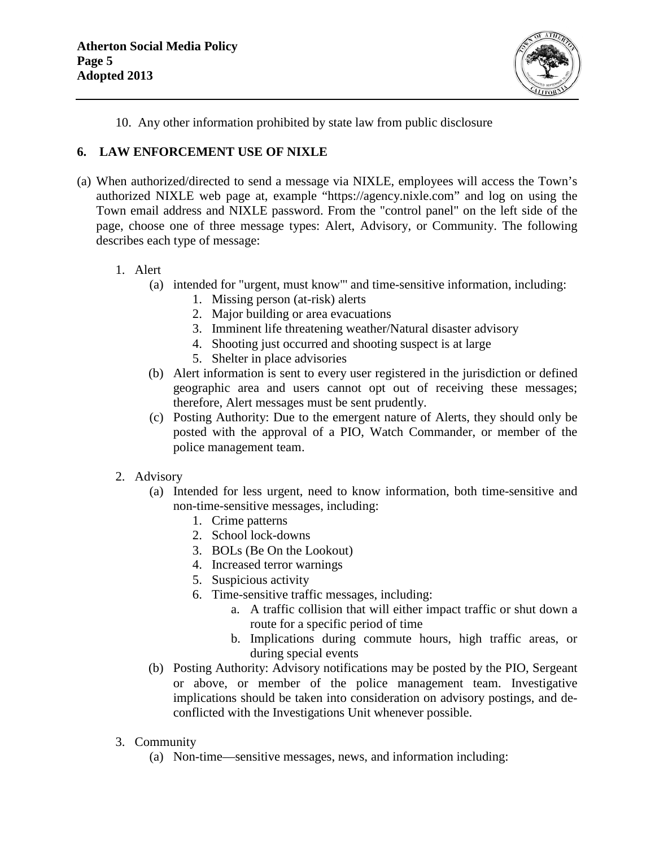

10. Any other information prohibited by state law from public disclosure

## **6. LAW ENFORCEMENT USE OF NIXLE**

(a) When authorized/directed to send a message via NIXLE, employees will access the Town's authorized NIXLE web page at, example "https://agency.nixle.com" and log on using the Town email address and NIXLE password. From the "control panel" on the left side of the page, choose one of three message types: Alert, Advisory, or Community. The following describes each type of message:

#### 1. Alert

- (a) intended for "urgent, must know"' and time-sensitive information, including:
	- 1. Missing person (at-risk) alerts
	- 2. Major building or area evacuations
	- 3. Imminent life threatening weather/Natural disaster advisory
	- 4. Shooting just occurred and shooting suspect is at large
	- 5. Shelter in place advisories
- (b) Alert information is sent to every user registered in the jurisdiction or defined geographic area and users cannot opt out of receiving these messages; therefore, Alert messages must be sent prudently.
- (c) Posting Authority: Due to the emergent nature of Alerts, they should only be posted with the approval of a PIO, Watch Commander, or member of the police management team.
- 2. Advisory
	- (a) Intended for less urgent, need to know information, both time-sensitive and non-time-sensitive messages, including:
		- 1. Crime patterns
		- 2. School lock-downs
		- 3. BOLs (Be On the Lookout)
		- 4. Increased terror warnings
		- 5. Suspicious activity
		- 6. Time-sensitive traffic messages, including:
			- a. A traffic collision that will either impact traffic or shut down a route for a specific period of time
			- b. Implications during commute hours, high traffic areas, or during special events
	- (b) Posting Authority: Advisory notifications may be posted by the PIO, Sergeant or above, or member of the police management team. Investigative implications should be taken into consideration on advisory postings, and deconflicted with the Investigations Unit whenever possible.
- 3. Community
	- (a) Non-time—sensitive messages, news, and information including: